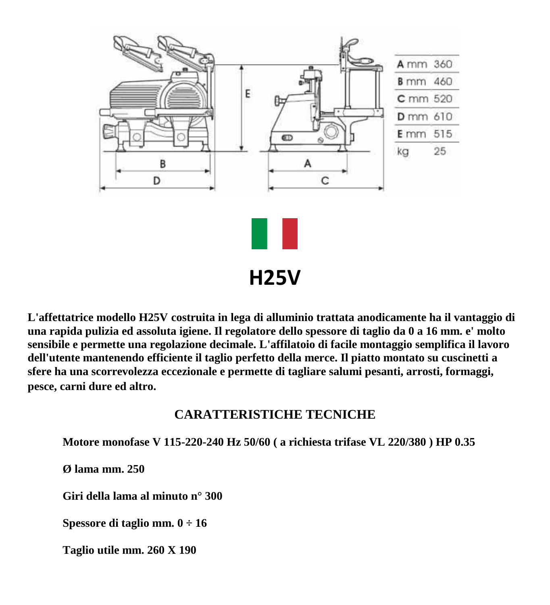

**L'affettatrice modello H25V costruita in lega di alluminio trattata anodicamente ha il vantaggio di una rapida pulizia ed assoluta igiene. Il regolatore dello spessore di taglio da 0 a 16 mm. e' molto sensibile e permette una regolazione decimale. L'affilatoio di facile montaggio semplifica il lavoro dell'utente mantenendo efficiente il taglio perfetto della merce. Il piatto montato su cuscinetti a sfere ha una scorrevolezza eccezionale e permette di tagliare salumi pesanti, arrosti, formaggi, pesce, carni dure ed altro.**

## **CARATTERISTICHE TECNICHE**

**Motore monofase V 115-220-240 Hz 50/60 ( a richiesta trifase VL 220/380 ) HP 0.35**

**Ø lama mm. 250**

**Giri della lama al minuto n° 300**

**Spessore di taglio mm. 0 ÷ 16**

**Taglio utile mm. 260 X 190**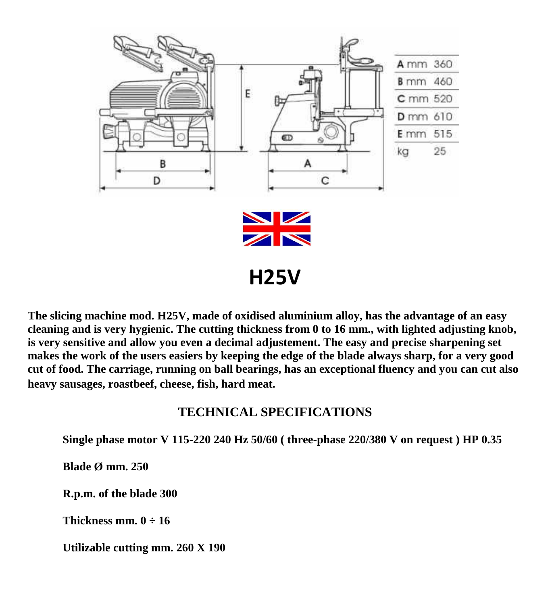

**The slicing machine mod. H25V, made of oxidised aluminium alloy, has the advantage of an easy cleaning and is very hygienic. The cutting thickness from 0 to 16 mm., with lighted adjusting knob, is very sensitive and allow you even a decimal adjustement. The easy and precise sharpening set makes the work of the users easiers by keeping the edge of the blade always sharp, for a very good cut of food. The carriage, running on ball bearings, has an exceptional fluency and you can cut also heavy sausages, roastbeef, cheese, fish, hard meat.** 

## **TECHNICAL SPECIFICATIONS**

**Single phase motor V 115-220 240 Hz 50/60 ( three-phase 220/380 V on request ) HP 0.35**

**Blade Ø mm. 250**

**R.p.m. of the blade 300**

**Thickness mm.**  $0 \div 16$ 

**Utilizable cutting mm. 260 X 190**